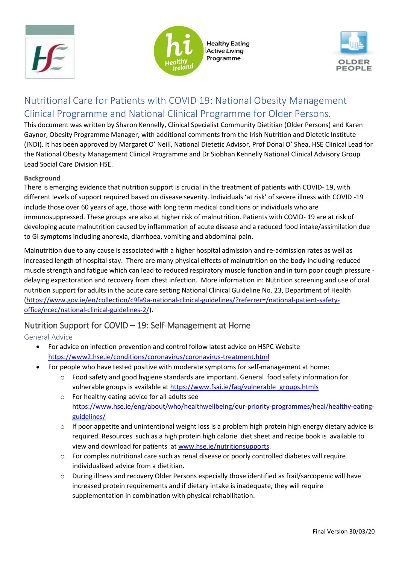





# Nutritional Care for Patients with COVID 19: National Obesity Management Clinical Programme and National Clinical Programme for Older Persons.

This document was written by Sharon Kennelly, Clinical Specialist Community Dietitian (Older Persons) and Karen Gaynor, Obesity Programme Manager, with additional comments from the Irish Nutrition and Dietetic Institute (INDI). It has been approved by Margaret O' Neill, National Dietetic Advisor, Prof Donal O' Shea, HSE Clinical Lead for the National Obesity Management Clinical Programme and Dr Siobhan Kennelly National Clinical Advisory Group Lead Social Care Division HSE.

#### **Background**

There is emerging evidence that nutrition support is crucial in the treatment of patients with COVID- 19, with different levels of support required based on disease severity. Individuals 'at risk' of severe illness with COVID -19 include those over 60 years of age, those with long term medical conditions or individuals who are immunosuppressed. These groups are also at higher risk of malnutrition. Patients with COVID- 19 are at risk of developing acute malnutrition caused by inflammation of acute disease and a reduced food intake/assimilation due to GI symptoms including anorexia, diarrhoea, vomiting and abdominal pain.

Malnutrition due to any cause is associated with a higher hospital admission and re-admission rates as well as increased length of hospital stay. There are many physical effects of malnutrition on the body including reduced muscle strength and fatigue which can lead to reduced respiratory muscle function and in turn poor cough pressure delaying expectoration and recovery from chest infection. More information in: Nutrition screening and use of oral nutrition support for adults in the acute care setting National Clinical Guideline No. 23, Department of Health [\(https://www.gov.ie/en/collection/c9fa9a-national-clinical-guidelines/?referrer=/national-patient-safety](https://www.gov.ie/en/collection/c9fa9a-national-clinical-guidelines/?referrer=/national-patient-safety-office/ncec/national-clinical-guidelines-2/)[office/ncec/national-clinical-guidelines-2/\)](https://www.gov.ie/en/collection/c9fa9a-national-clinical-guidelines/?referrer=/national-patient-safety-office/ncec/national-clinical-guidelines-2/).

## Nutrition Support for COVID – 19: Self-Management at Home

General Advice

- For advice on infection prevention and control follow latest advice on HSPC Website <https://www2.hse.ie/conditions/coronavirus/coronavirus-treatment.html>
- For people who have tested positive with moderate symptoms for self-management at home:
	- o Food safety and good hygiene standards are important. General food safety information for vulnerable groups is available at [https://www.fsai.ie/faq/vulnerable\\_groups.htmls](https://www.fsai.ie/faq/vulnerable_groups.htmls)
	- o For healthy eating advice for all adults see [https://www.hse.ie/eng/about/who/healthwellbeing/our-priority-programmes/heal/healthy-eating](https://www.hse.ie/eng/about/who/healthwellbeing/our-priority-programmes/heal/healthy-eating-guidelines/)[guidelines/](https://www.hse.ie/eng/about/who/healthwellbeing/our-priority-programmes/heal/healthy-eating-guidelines/)
	- $\circ$  If poor appetite and unintentional weight loss is a problem high protein high energy dietary advice is required. Resources such as a high protein high calorie diet sheet and recipe book is available to view and download for patients at [www.hse.ie/nutritionsupports.](http://www.hse.ie/nutritionsupports)
	- o For complex nutritional care such as renal disease or poorly controlled diabetes will require individualised advice from a dietitian.
	- o During illness and recovery Older Persons especially those identified as frail/sarcopenic will have increased protein requirements and if dietary intake is inadequate, they will require supplementation in combination with physical rehabilitation.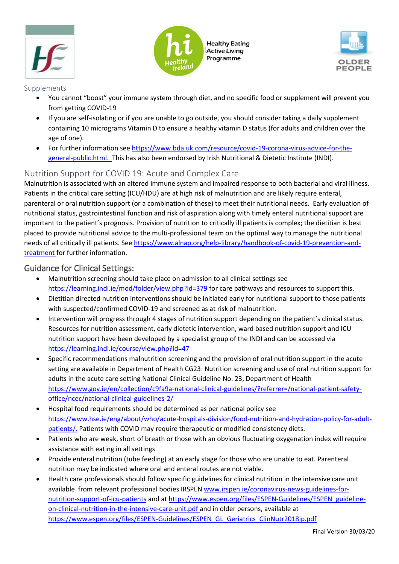





#### Supplements

- You cannot "boost" your immune system through diet, and no specific food or supplement will prevent you from getting COVID-19
- If you are self-isolating or if you are unable to go outside, you should consider taking a daily supplement containing 10 micrograms Vitamin D to ensure a healthy vitamin D status (for adults and children over the age of one).
- For further information see [https://www.bda.uk.com/resource/covid-19-corona-virus-advice-for-the](https://www.bda.uk.com/resource/covid-19-corona-virus-advice-for-the-general-public.html)[general-public.html.](https://www.bda.uk.com/resource/covid-19-corona-virus-advice-for-the-general-public.html) This has also been endorsed by Irish Nutritional & Dietetic Institute (INDI).

## Nutrition Support for COVID 19: Acute and Complex Care

Malnutrition is associated with an altered immune system and impaired response to both bacterial and viral illness. Patients in the critical care setting (ICU/HDU) are at high risk of malnutrition and are likely require enteral, parenteral or oral nutrition support (or a combination of these) to meet their nutritional needs. Early evaluation of nutritional status, gastrointestinal function and risk of aspiration along with timely enteral nutritional support are important to the patient's prognosis. Provision of nutrition to critically ill patients is complex; the dietitian is best placed to provide nutritional advice to the multi-professional team on the optimal way to manage the nutritional needs of all critically ill patients. Se[e https://www.alnap.org/help-library/handbook-of-covid-19-prevention-and](https://www.alnap.org/help-library/handbook-of-covid-19-prevention-and-treatment)[treatment](https://www.alnap.org/help-library/handbook-of-covid-19-prevention-and-treatment) for further information.

### Guidance for Clinical Settings:

- Malnutrition screening should take place on admission to all clinical settings see <https://learning.indi.ie/mod/folder/view.php?id=379> for care pathways and resources to support this.
- Dietitian directed nutrition interventions should be initiated early for nutritional support to those patients with suspected/confirmed COVID-19 and screened as at risk of malnutrition.
- Intervention will progress through 4 stages of nutrition support depending on the patient's clinical status. Resources for nutrition assessment, early dietetic intervention, ward based nutrition support and ICU nutrition support have been developed by a specialist group of the INDI and can be accessed via <https://learning.indi.ie/course/view.php?id=47>
- Specific recommendations malnutrition screening and the provision of oral nutrition support in the acute setting are available in Department of Health CG23: Nutrition screening and use of oral nutrition support for adults in the acute care setting National Clinical Guideline No. 23, Department of Health [https://www.gov.ie/en/collection/c9fa9a-national-clinical-guidelines/?referrer=/national-patient-safety](https://www.gov.ie/en/collection/c9fa9a-national-clinical-guidelines/?referrer=/national-patient-safety-office/ncec/national-clinical-guidelines-2/)[office/ncec/national-clinical-guidelines-2/](https://www.gov.ie/en/collection/c9fa9a-national-clinical-guidelines/?referrer=/national-patient-safety-office/ncec/national-clinical-guidelines-2/)
- Hospital food requirements should be determined as per national policy see [https://www.hse.ie/eng/about/who/acute-hospitals-division/food-nutrition-and-hydration-policy-for-adult](https://www.hse.ie/eng/about/who/acute-hospitals-division/food-nutrition-and-hydration-policy-for-adult-patients/)[patients/.](https://www.hse.ie/eng/about/who/acute-hospitals-division/food-nutrition-and-hydration-policy-for-adult-patients/) Patients with COVID may require therapeutic or modified consistency diets.
- Patients who are weak, short of breath or those with an obvious fluctuating oxygenation index will require assistance with eating in all settings
- Provide enteral nutrition (tube feeding) at an early stage for those who are unable to eat. Parenteral nutrition may be indicated where oral and enteral routes are not viable.
- Health care professionals should follow specific guidelines for clinical nutrition in the intensive care unit available from relevant professional bodies IRSPEN [www.irspen.ie/coronavirus-news-guidelines-for](http://www.irspen.ie/coronavirus-news-guidelines-for-nutrition-support-of-icu-patients)[nutrition-support-of-icu-patients](http://www.irspen.ie/coronavirus-news-guidelines-for-nutrition-support-of-icu-patients) and a[t https://www.espen.org/files/ESPEN-Guidelines/ESPEN\\_guideline](https://www.espen.org/files/ESPEN-Guidelines/ESPEN_guideline-on-clinical-nutrition-in-the-intensive-care-unit.pdf)[on-clinical-nutrition-in-the-intensive-care-unit.pdf](https://www.espen.org/files/ESPEN-Guidelines/ESPEN_guideline-on-clinical-nutrition-in-the-intensive-care-unit.pdf) and in older persons, available at [https://www.espen.org/files/ESPEN-Guidelines/ESPEN\\_GL\\_Geriatrics\\_ClinNutr2018ip.pdf](https://www.espen.org/files/ESPEN-Guidelines/ESPEN_GL_Geriatrics_ClinNutr2018ip.pdf)